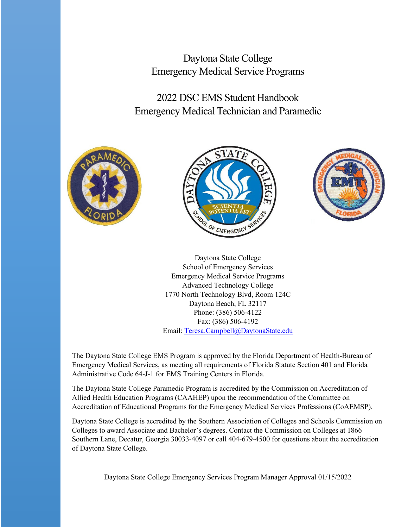Daytona State College Emergency Medical Service Programs

2022 DSC EMS Student Handbook Emergency Medical Technician and Paramedic







Daytona State College School of Emergency Services Emergency Medical Service Programs Advanced Technology College 1770 North Technology Blvd, Room 124C Daytona Beach, FL 32117 Phone: (386) 506-4122 Fax: (386) 506-4192 Email: [Teresa.Campbell@DaytonaState.edu](mailto:Teresa.Campbell@DaytonaState.edu)

The Daytona State College EMS Program is approved by the Florida Department of Health-Bureau of Emergency Medical Services, as meeting all requirements of Florida Statute Section 401 and Florida Administrative Code 64-J-1 for EMS Training Centers in Florida.

The Daytona State College Paramedic Program is accredited by the Commission on Accreditation of Allied Health Education Programs (CAAHEP) upon the recommendation of the Committee on Accreditation of Educational Programs for the Emergency Medical Services Professions (CoAEMSP).

Daytona State College is accredited by the Southern Association of Colleges and Schools Commission on Colleges to award Associate and Bachelor's degrees. Contact the Commission on Colleges at 1866 Southern Lane, Decatur, Georgia 30033-4097 or call 404-679-4500 for questions about the accreditation of Daytona State College.

Daytona State College Emergency Services Program Manager Approval 01/15/2022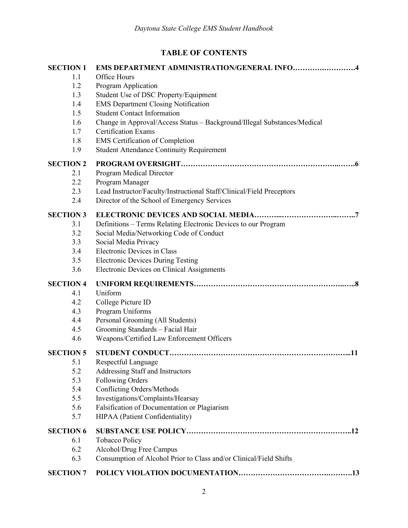# **TABLE OF CONTENTS**

| <b>SECTION 1</b> | <b>EMS DEPARTMENT ADMINISTRATION/GENERAL INFO4</b>                       |
|------------------|--------------------------------------------------------------------------|
| 1.1              | Office Hours                                                             |
| 1.2              | Program Application                                                      |
| 1.3              | Student Use of DSC Property/Equipment                                    |
| 1.4              | <b>EMS Department Closing Notification</b>                               |
| 1.5              | <b>Student Contact Information</b>                                       |
| 1.6              | Change in Approval/Access Status - Background/Illegal Substances/Medical |
| 1.7              | <b>Certification Exams</b>                                               |
| 1.8              | <b>EMS</b> Certification of Completion                                   |
| 1.9              | <b>Student Attendance Continuity Requirement</b>                         |
| <b>SECTION 2</b> |                                                                          |
| 2.1              | Program Medical Director                                                 |
| 2.2              | Program Manager                                                          |
| 2.3              | Lead Instructor/Faculty/Instructional Staff/Clinical/Field Preceptors    |
| 2.4              | Director of the School of Emergency Services                             |
| <b>SECTION 3</b> |                                                                          |
| 3.1              | Definitions - Terms Relating Electronic Devices to our Program           |
| 3.2              | Social Media/Networking Code of Conduct                                  |
| 3.3              | Social Media Privacy                                                     |
| 3.4              | Electronic Devices in Class                                              |
| 3.5              | <b>Electronic Devices During Testing</b>                                 |
| 3.6              | Electronic Devices on Clinical Assignments                               |
| <b>SECTION 4</b> |                                                                          |
| 4.1              | Uniform                                                                  |
| 4.2              | College Picture ID                                                       |
| 4.3              | Program Uniforms                                                         |
| 4.4              | Personal Grooming (All Students)                                         |
| 4.5              | Grooming Standards - Facial Hair                                         |
| 4.6              | Weapons/Certified Law Enforcement Officers                               |
| <b>SECTION 5</b> |                                                                          |
| 5.1              | Respectful Language                                                      |
| 5.2              | Addressing Staff and Instructors                                         |
| 5.3              | Following Orders                                                         |
| 5.4              | Conflicting Orders/Methods                                               |
| 5.5              | Investigations/Complaints/Hearsay                                        |
| 5.6              | Falsification of Documentation or Plagiarism                             |
| 5.7              | HIPAA (Patient Confidentiality)                                          |
| <b>SECTION 6</b> |                                                                          |
| 6.1              | Tobacco Policy                                                           |
| 6.2              | Alcohol/Drug Free Campus                                                 |
| 6.3              | Consumption of Alcohol Prior to Class and/or Clinical/Field Shifts       |
| <b>SECTION 7</b> |                                                                          |
|                  |                                                                          |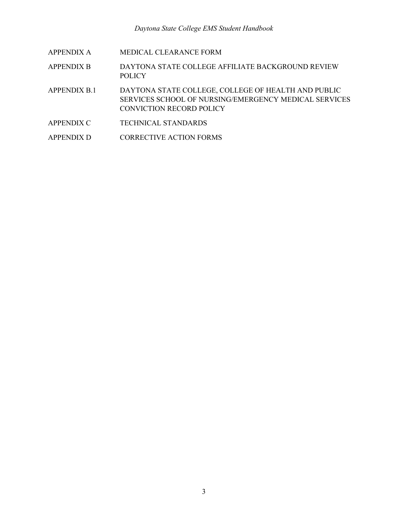| <b>APPENDIX A</b> |
|-------------------|
|-------------------|

- APPENDIX B DAYTONA STATE COLLEGE AFFILIATE BACKGROUND REVIEW POLICY
- APPENDIX B.1 DAYTONA STATE COLLEGE, COLLEGE OF HEALTH AND PUBLIC SERVICES SCHOOL OF NURSING/EMERGENCY MEDICAL SERVICES CONVICTION RECORD POLICY
- APPENDIX C TECHNICAL STANDARDS
- APPENDIX D CORRECTIVE ACTION FORMS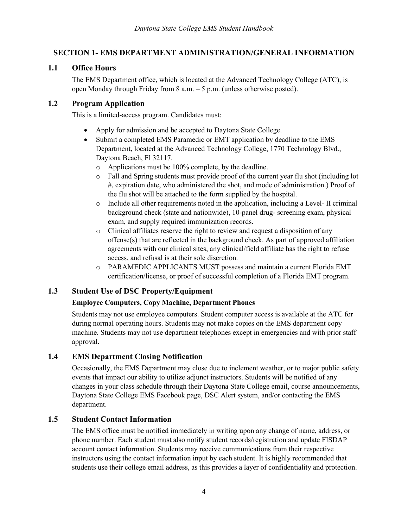# **SECTION 1- EMS DEPARTMENT ADMINISTRATION/GENERAL INFORMATION**

# **1.1 Office Hours**

The EMS Department office, which is located at the Advanced Technology College (ATC), is open Monday through Friday from 8 a.m. – 5 p.m. (unless otherwise posted).

# **1.2 Program Application**

This is a limited-access program. Candidates must:

- Apply for admission and be accepted to Daytona State College.
- Submit a completed EMS Paramedic or EMT application by deadline to the EMS Department, located at the Advanced Technology College, 1770 Technology Blvd., Daytona Beach, Fl 32117.
	- o Applications must be 100% complete, by the deadline.
	- o Fall and Spring students must provide proof of the current year flu shot (including lot #, expiration date, who administered the shot, and mode of administration.) Proof of the flu shot will be attached to the form supplied by the hospital.
	- $\circ$  Include all other requirements noted in the application, including a Level- II criminal background check (state and nationwide), 10-panel drug- screening exam, physical exam, and supply required immunization records.
	- o Clinical affiliates reserve the right to review and request a disposition of any offense(s) that are reflected in the background check. As part of approved affiliation agreements with our clinical sites, any clinical/field affiliate has the right to refuse access, and refusal is at their sole discretion.
	- o PARAMEDIC APPLICANTS MUST possess and maintain a current Florida EMT certification/license, or proof of successful completion of a Florida EMT program.

# **1.3 Student Use of DSC Property/Equipment**

# **Employee Computers, Copy Machine, Department Phones**

Students may not use employee computers. Student computer access is available at the ATC for during normal operating hours. Students may not make copies on the EMS department copy machine. Students may not use department telephones except in emergencies and with prior staff approval.

# **1.4 EMS Department Closing Notification**

Occasionally, the EMS Department may close due to inclement weather, or to major public safety events that impact our ability to utilize adjunct instructors. Students will be notified of any changes in your class schedule through their Daytona State College email, course announcements, Daytona State College EMS Facebook page, DSC Alert system, and/or contacting the EMS department.

# **1.5 Student Contact Information**

The EMS office must be notified immediately in writing upon any change of name, address, or phone number. Each student must also notify student records/registration and update FISDAP account contact information. Students may receive communications from their respective instructors using the contact information input by each student. It is highly recommended that students use their college email address, as this provides a layer of confidentiality and protection.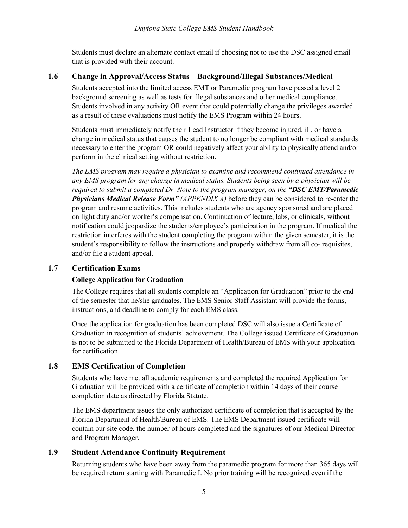Students must declare an alternate contact email if choosing not to use the DSC assigned email that is provided with their account.

### **1.6 Change in Approval/Access Status – Background/Illegal Substances/Medical**

Students accepted into the limited access EMT or Paramedic program have passed a level 2 background screening as well as tests for illegal substances and other medical compliance. Students involved in any activity OR event that could potentially change the privileges awarded as a result of these evaluations must notify the EMS Program within 24 hours.

Students must immediately notify their Lead Instructor if they become injured, ill, or have a change in medical status that causes the student to no longer be compliant with medical standards necessary to enter the program OR could negatively affect your ability to physically attend and/or perform in the clinical setting without restriction.

*The EMS program may require a physician to examine and recommend continued attendance in any EMS program for any change in medical status. Students being seen by a physician will be required to submit a completed Dr. Note to the program manager, on the "DSC EMT/Paramedic Physicians Medical Release Form" (APPENDIX A)* before they can be considered to re-enter the program and resume activities. This includes students who are agency sponsored and are placed on light duty and/or worker's compensation. Continuation of lecture, labs, or clinicals, without notification could jeopardize the students/employee's participation in the program. If medical the restriction interferes with the student completing the program within the given semester, it is the student's responsibility to follow the instructions and properly withdraw from all co- requisites, and/or file a student appeal.

### **1.7 Certification Exams**

#### **College Application for Graduation**

The College requires that all students complete an "Application for Graduation" prior to the end of the semester that he/she graduates. The EMS Senior Staff Assistant will provide the forms, instructions, and deadline to comply for each EMS class.

Once the application for graduation has been completed DSC will also issue a Certificate of Graduation in recognition of students' achievement. The College issued Certificate of Graduation is not to be submitted to the Florida Department of Health/Bureau of EMS with your application for certification.

# **1.8 EMS Certification of Completion**

Students who have met all academic requirements and completed the required Application for Graduation will be provided with a certificate of completion within 14 days of their course completion date as directed by Florida Statute.

The EMS department issues the only authorized certificate of completion that is accepted by the Florida Department of Health/Bureau of EMS. The EMS Department issued certificate will contain our site code, the number of hours completed and the signatures of our Medical Director and Program Manager.

# **1.9 Student Attendance Continuity Requirement**

Returning students who have been away from the paramedic program for more than 365 days will be required return starting with Paramedic I. No prior training will be recognized even if the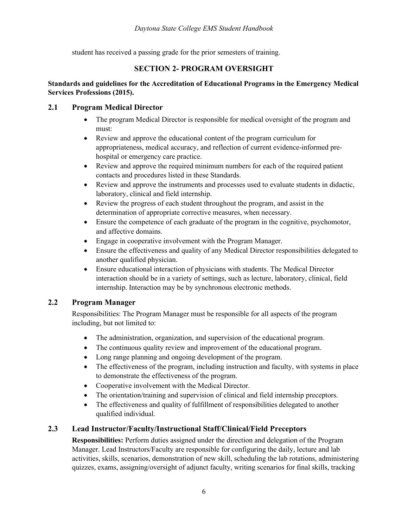student has received a passing grade for the prior semesters of training.

### **SECTION 2- PROGRAM OVERSIGHT**

#### **Standards and guidelines for the Accreditation of Educational Programs in the Emergency Medical Services Professions (2015).**

### **2.1 Program Medical Director**

- The program Medical Director is responsible for medical oversight of the program and must:
- Review and approve the educational content of the program curriculum for appropriateness, medical accuracy, and reflection of current evidence-informed prehospital or emergency care practice.
- Review and approve the required minimum numbers for each of the required patient contacts and procedures listed in these Standards.
- Review and approve the instruments and processes used to evaluate students in didactic, laboratory, clinical and field internship.
- Review the progress of each student throughout the program, and assist in the determination of appropriate corrective measures, when necessary.
- Ensure the competence of each graduate of the program in the cognitive, psychomotor, and affective domains.
- Engage in cooperative involvement with the Program Manager.
- Ensure the effectiveness and quality of any Medical Director responsibilities delegated to another qualified physician.
- Ensure educational interaction of physicians with students. The Medical Director interaction should be in a variety of settings, such as lecture, laboratory, clinical, field internship. Interaction may be by synchronous electronic methods.

# **2.2 Program Manager**

Responsibilities: The Program Manager must be responsible for all aspects of the program including, but not limited to:

- The administration, organization, and supervision of the educational program.
- The continuous quality review and improvement of the educational program.
- Long range planning and ongoing development of the program.
- The effectiveness of the program, including instruction and faculty, with systems in place to demonstrate the effectiveness of the program.
- Cooperative involvement with the Medical Director.
- The orientation/training and supervision of clinical and field internship preceptors.
- The effectiveness and quality of fulfillment of responsibilities delegated to another qualified individual.

# **2.3 Lead Instructor/Faculty/Instructional Staff/Clinical/Field Preceptors**

**Responsibilities:** Perform duties assigned under the direction and delegation of the Program Manager. Lead Instructors/Faculty are responsible for configuring the daily, lecture and lab activities, skills, scenarios, demonstration of new skill, scheduling the lab rotations, administering quizzes, exams, assigning/oversight of adjunct faculty, writing scenarios for final skills, tracking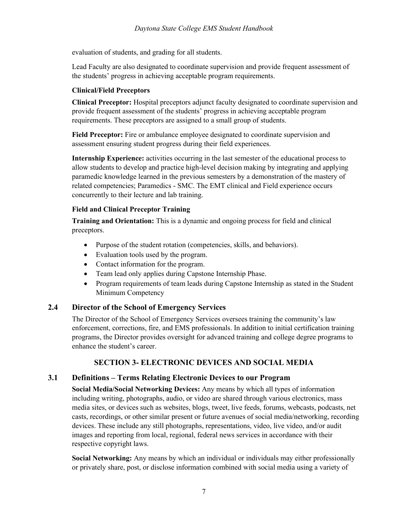evaluation of students, and grading for all students.

Lead Faculty are also designated to coordinate supervision and provide frequent assessment of the students' progress in achieving acceptable program requirements.

### **Clinical/Field Preceptors**

**Clinical Preceptor:** Hospital preceptors adjunct faculty designated to coordinate supervision and provide frequent assessment of the students' progress in achieving acceptable program requirements. These preceptors are assigned to a small group of students.

**Field Preceptor:** Fire or ambulance employee designated to coordinate supervision and assessment ensuring student progress during their field experiences.

**Internship Experience:** activities occurring in the last semester of the educational process to allow students to develop and practice high-level decision making by integrating and applying paramedic knowledge learned in the previous semesters by a demonstration of the mastery of related competencies; Paramedics - SMC. The EMT clinical and Field experience occurs concurrently to their lecture and lab training.

### **Field and Clinical Preceptor Training**

**Training and Orientation:** This is a dynamic and ongoing process for field and clinical preceptors.

- Purpose of the student rotation (competencies, skills, and behaviors).
- Evaluation tools used by the program.
- Contact information for the program.
- Team lead only applies during Capstone Internship Phase.
- Program requirements of team leads during Capstone Internship as stated in the Student Minimum Competency

# **2.4 Director of the School of Emergency Services**

The Director of the School of Emergency Services oversees training the community's law enforcement, corrections, fire, and EMS professionals. In addition to initial certification training programs, the Director provides oversight for advanced training and college degree programs to enhance the student's career.

# **SECTION 3- ELECTRONIC DEVICES AND SOCIAL MEDIA**

# **3.1 Definitions – Terms Relating Electronic Devices to our Program**

**Social Media/Social Networking Devices:** Any means by which all types of information including writing, photographs, audio, or video are shared through various electronics, mass media sites, or devices such as websites, blogs, tweet, live feeds, forums, webcasts, podcasts, net casts, recordings, or other similar present or future avenues of social media/networking, recording devices. These include any still photographs, representations, video, live video, and/or audit images and reporting from local, regional, federal news services in accordance with their respective copyright laws.

**Social Networking:** Any means by which an individual or individuals may either professionally or privately share, post, or disclose information combined with social media using a variety of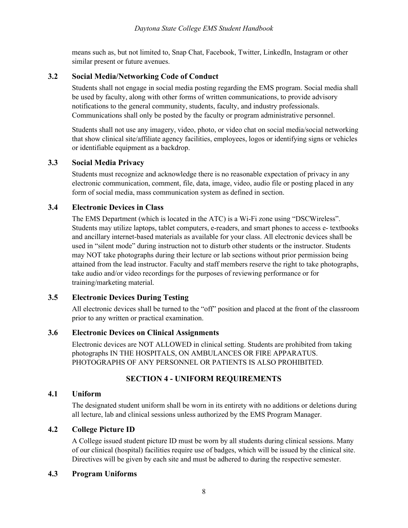means such as, but not limited to, Snap Chat, Facebook, Twitter, LinkedIn, Instagram or other similar present or future avenues.

### **3.2 Social Media/Networking Code of Conduct**

Students shall not engage in social media posting regarding the EMS program. Social media shall be used by faculty, along with other forms of written communications, to provide advisory notifications to the general community, students, faculty, and industry professionals. Communications shall only be posted by the faculty or program administrative personnel.

Students shall not use any imagery, video, photo, or video chat on social media/social networking that show clinical site/affiliate agency facilities, employees, logos or identifying signs or vehicles or identifiable equipment as a backdrop.

### **3.3 Social Media Privacy**

Students must recognize and acknowledge there is no reasonable expectation of privacy in any electronic communication, comment, file, data, image, video, audio file or posting placed in any form of social media, mass communication system as defined in section.

### **3.4 Electronic Devices in Class**

The EMS Department (which is located in the ATC) is a Wi-Fi zone using "DSCWireless". Students may utilize laptops, tablet computers, e-readers, and smart phones to access e- textbooks and ancillary internet-based materials as available for your class. All electronic devices shall be used in "silent mode" during instruction not to disturb other students or the instructor. Students may NOT take photographs during their lecture or lab sections without prior permission being attained from the lead instructor. Faculty and staff members reserve the right to take photographs, take audio and/or video recordings for the purposes of reviewing performance or for training/marketing material.

### **3.5 Electronic Devices During Testing**

All electronic devices shall be turned to the "off" position and placed at the front of the classroom prior to any written or practical examination.

### **3.6 Electronic Devices on Clinical Assignments**

Electronic devices are NOT ALLOWED in clinical setting. Students are prohibited from taking photographs IN THE HOSPITALS, ON AMBULANCES OR FIRE APPARATUS. PHOTOGRAPHS OF ANY PERSONNEL OR PATIENTS IS ALSO PROHIBITED.

# **SECTION 4 - UNIFORM REQUIREMENTS**

### **4.1 Uniform**

The designated student uniform shall be worn in its entirety with no additions or deletions during all lecture, lab and clinical sessions unless authorized by the EMS Program Manager.

# **4.2 College Picture ID**

A College issued student picture ID must be worn by all students during clinical sessions. Many of our clinical (hospital) facilities require use of badges, which will be issued by the clinical site. Directives will be given by each site and must be adhered to during the respective semester.

#### **4.3 Program Uniforms**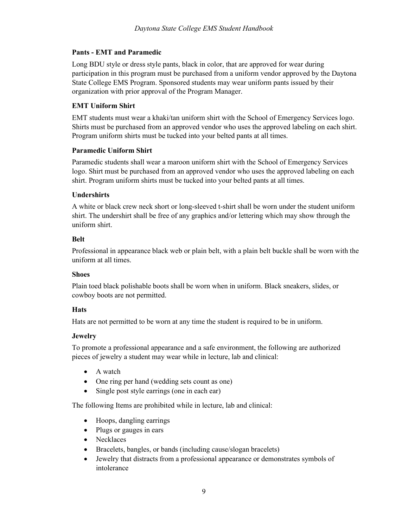#### **Pants - EMT and Paramedic**

Long BDU style or dress style pants, black in color, that are approved for wear during participation in this program must be purchased from a uniform vendor approved by the Daytona State College EMS Program. Sponsored students may wear uniform pants issued by their organization with prior approval of the Program Manager.

### **EMT Uniform Shirt**

EMT students must wear a khaki/tan uniform shirt with the School of Emergency Services logo. Shirts must be purchased from an approved vendor who uses the approved labeling on each shirt. Program uniform shirts must be tucked into your belted pants at all times.

#### **Paramedic Uniform Shirt**

Paramedic students shall wear a maroon uniform shirt with the School of Emergency Services logo. Shirt must be purchased from an approved vendor who uses the approved labeling on each shirt. Program uniform shirts must be tucked into your belted pants at all times.

### **Undershirts**

A white or black crew neck short or long-sleeved t-shirt shall be worn under the student uniform shirt. The undershirt shall be free of any graphics and/or lettering which may show through the uniform shirt.

#### **Belt**

Professional in appearance black web or plain belt, with a plain belt buckle shall be worn with the uniform at all times.

#### **Shoes**

Plain toed black polishable boots shall be worn when in uniform. Black sneakers, slides, or cowboy boots are not permitted.

#### **Hats**

Hats are not permitted to be worn at any time the student is required to be in uniform.

# **Jewelry**

To promote a professional appearance and a safe environment, the following are authorized pieces of jewelry a student may wear while in lecture, lab and clinical:

- A watch
- One ring per hand (wedding sets count as one)
- Single post style earrings (one in each ear)

The following Items are prohibited while in lecture, lab and clinical:

- Hoops, dangling earrings
- Plugs or gauges in ears
- Necklaces
- Bracelets, bangles, or bands (including cause/slogan bracelets)
- Jewelry that distracts from a professional appearance or demonstrates symbols of intolerance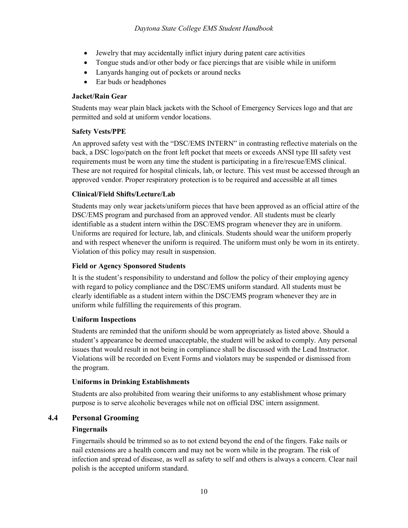- Jewelry that may accidentally inflict injury during patent care activities
- Tongue studs and/or other body or face piercings that are visible while in uniform
- Lanyards hanging out of pockets or around necks
- Ear buds or headphones

#### **Jacket/Rain Gear**

Students may wear plain black jackets with the School of Emergency Services logo and that are permitted and sold at uniform vendor locations.

#### **Safety Vests/PPE**

An approved safety vest with the "DSC/EMS INTERN" in contrasting reflective materials on the back, a DSC logo/patch on the front left pocket that meets or exceeds ANSI type III safety vest requirements must be worn any time the student is participating in a fire/rescue/EMS clinical. These are not required for hospital clinicals, lab, or lecture. This vest must be accessed through an approved vendor. Proper respiratory protection is to be required and accessible at all times

#### **Clinical/Field Shifts/Lecture/Lab**

Students may only wear jackets/uniform pieces that have been approved as an official attire of the DSC/EMS program and purchased from an approved vendor. All students must be clearly identifiable as a student intern within the DSC/EMS program whenever they are in uniform. Uniforms are required for lecture, lab, and clinicals. Students should wear the uniform properly and with respect whenever the uniform is required. The uniform must only be worn in its entirety. Violation of this policy may result in suspension.

#### **Field or Agency Sponsored Students**

It is the student's responsibility to understand and follow the policy of their employing agency with regard to policy compliance and the DSC/EMS uniform standard. All students must be clearly identifiable as a student intern within the DSC/EMS program whenever they are in uniform while fulfilling the requirements of this program.

#### **Uniform Inspections**

Students are reminded that the uniform should be worn appropriately as listed above. Should a student's appearance be deemed unacceptable, the student will be asked to comply. Any personal issues that would result in not being in compliance shall be discussed with the Lead Instructor. Violations will be recorded on Event Forms and violators may be suspended or dismissed from the program.

#### **Uniforms in Drinking Establishments**

Students are also prohibited from wearing their uniforms to any establishment whose primary purpose is to serve alcoholic beverages while not on official DSC intern assignment.

#### **4.4 Personal Grooming**

#### **Fingernails**

Fingernails should be trimmed so as to not extend beyond the end of the fingers. Fake nails or nail extensions are a health concern and may not be worn while in the program. The risk of infection and spread of disease, as well as safety to self and others is always a concern. Clear nail polish is the accepted uniform standard.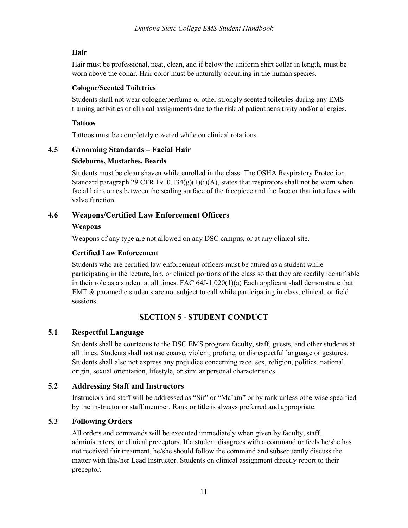### **Hair**

Hair must be professional, neat, clean, and if below the uniform shirt collar in length, must be worn above the collar. Hair color must be naturally occurring in the human species.

#### **Cologne/Scented Toiletries**

Students shall not wear cologne/perfume or other strongly scented toiletries during any EMS training activities or clinical assignments due to the risk of patient sensitivity and/or allergies.

#### **Tattoos**

Tattoos must be completely covered while on clinical rotations.

#### **4.5 Grooming Standards – Facial Hair**

#### **Sideburns, Mustaches, Beards**

Students must be clean shaven while enrolled in the class. The OSHA Respiratory Protection Standard paragraph 29 CFR 1910.134(g)(1)(i)(A), states that respirators shall not be worn when facial hair comes between the sealing surface of the facepiece and the face or that interferes with valve function.

### **4.6 Weapons/Certified Law Enforcement Officers**

#### **Weapons**

Weapons of any type are not allowed on any DSC campus, or at any clinical site.

#### **Certified Law Enforcement**

Students who are certified law enforcement officers must be attired as a student while participating in the lecture, lab, or clinical portions of the class so that they are readily identifiable in their role as a student at all times. FAC 64J-1.020(1)(a) Each applicant shall demonstrate that EMT & paramedic students are not subject to call while participating in class, clinical, or field sessions.

# **SECTION 5 - STUDENT CONDUCT**

#### **5.1 Respectful Language**

Students shall be courteous to the DSC EMS program faculty, staff, guests, and other students at all times. Students shall not use coarse, violent, profane, or disrespectful language or gestures. Students shall also not express any prejudice concerning race, sex, religion, politics, national origin, sexual orientation, lifestyle, or similar personal characteristics.

### **5.2 Addressing Staff and Instructors**

Instructors and staff will be addressed as "Sir" or "Ma'am" or by rank unless otherwise specified by the instructor or staff member. Rank or title is always preferred and appropriate.

# **5.3 Following Orders**

All orders and commands will be executed immediately when given by faculty, staff, administrators, or clinical preceptors. If a student disagrees with a command or feels he/she has not received fair treatment, he/she should follow the command and subsequently discuss the matter with this/her Lead Instructor. Students on clinical assignment directly report to their preceptor.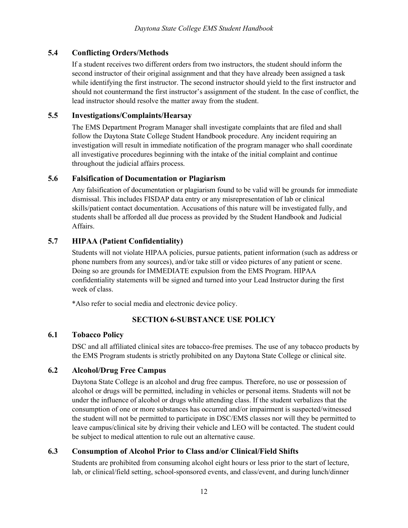# **5.4 Conflicting Orders/Methods**

If a student receives two different orders from two instructors, the student should inform the second instructor of their original assignment and that they have already been assigned a task while identifying the first instructor. The second instructor should yield to the first instructor and should not countermand the first instructor's assignment of the student. In the case of conflict, the lead instructor should resolve the matter away from the student.

### **5.5 Investigations/Complaints/Hearsay**

The EMS Department Program Manager shall investigate complaints that are filed and shall follow the Daytona State College Student Handbook procedure. Any incident requiring an investigation will result in immediate notification of the program manager who shall coordinate all investigative procedures beginning with the intake of the initial complaint and continue throughout the judicial affairs process.

### **5.6 Falsification of Documentation or Plagiarism**

Any falsification of documentation or plagiarism found to be valid will be grounds for immediate dismissal. This includes FISDAP data entry or any misrepresentation of lab or clinical skills/patient contact documentation. Accusations of this nature will be investigated fully, and students shall be afforded all due process as provided by the Student Handbook and Judicial Affairs.

# **5.7 HIPAA (Patient Confidentiality)**

Students will not violate HIPAA policies, pursue patients, patient information (such as address or phone numbers from any sources), and/or take still or video pictures of any patient or scene. Doing so are grounds for IMMEDIATE expulsion from the EMS Program. HIPAA confidentiality statements will be signed and turned into your Lead Instructor during the first week of class.

\*Also refer to social media and electronic device policy.

# **SECTION 6-SUBSTANCE USE POLICY**

#### **6.1 Tobacco Policy**

DSC and all affiliated clinical sites are tobacco-free premises. The use of any tobacco products by the EMS Program students is strictly prohibited on any Daytona State College or clinical site.

# **6.2 Alcohol/Drug Free Campus**

Daytona State College is an alcohol and drug free campus. Therefore, no use or possession of alcohol or drugs will be permitted, including in vehicles or personal items. Students will not be under the influence of alcohol or drugs while attending class. If the student verbalizes that the consumption of one or more substances has occurred and/or impairment is suspected/witnessed the student will not be permitted to participate in DSC/EMS classes nor will they be permitted to leave campus/clinical site by driving their vehicle and LEO will be contacted. The student could be subject to medical attention to rule out an alternative cause.

# **6.3 Consumption of Alcohol Prior to Class and/or Clinical/Field Shifts**

Students are prohibited from consuming alcohol eight hours or less prior to the start of lecture, lab, or clinical/field setting, school-sponsored events, and class/event, and during lunch/dinner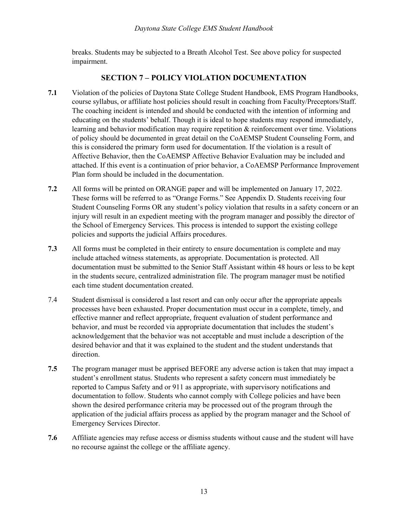breaks. Students may be subjected to a Breath Alcohol Test. See above policy for suspected impairment.

### **SECTION 7 – POLICY VIOLATION DOCUMENTATION**

- **7.1** Violation of the policies of Daytona State College Student Handbook, EMS Program Handbooks, course syllabus, or affiliate host policies should result in coaching from Faculty/Preceptors/Staff. The coaching incident is intended and should be conducted with the intention of informing and educating on the students' behalf. Though it is ideal to hope students may respond immediately, learning and behavior modification may require repetition & reinforcement over time. Violations of policy should be documented in great detail on the CoAEMSP Student Counseling Form, and this is considered the primary form used for documentation. If the violation is a result of Affective Behavior, then the CoAEMSP Affective Behavior Evaluation may be included and attached. If this event is a continuation of prior behavior, a CoAEMSP Performance Improvement Plan form should be included in the documentation.
- **7.2** All forms will be printed on ORANGE paper and will be implemented on January 17, 2022. These forms will be referred to as "Orange Forms." See Appendix D. Students receiving four Student Counseling Forms OR any student's policy violation that results in a safety concern or an injury will result in an expedient meeting with the program manager and possibly the director of the School of Emergency Services. This process is intended to support the existing college policies and supports the judicial Affairs procedures.
- **7.3** All forms must be completed in their entirety to ensure documentation is complete and may include attached witness statements, as appropriate. Documentation is protected. All documentation must be submitted to the Senior Staff Assistant within 48 hours or less to be kept in the students secure, centralized administration file. The program manager must be notified each time student documentation created.
- 7.4 Student dismissal is considered a last resort and can only occur after the appropriate appeals processes have been exhausted. Proper documentation must occur in a complete, timely, and effective manner and reflect appropriate, frequent evaluation of student performance and behavior, and must be recorded via appropriate documentation that includes the student's acknowledgement that the behavior was not acceptable and must include a description of the desired behavior and that it was explained to the student and the student understands that direction.
- **7.5** The program manager must be apprised BEFORE any adverse action is taken that may impact a student's enrollment status. Students who represent a safety concern must immediately be reported to Campus Safety and or 911 as appropriate, with supervisory notifications and documentation to follow. Students who cannot comply with College policies and have been shown the desired performance criteria may be processed out of the program through the application of the judicial affairs process as applied by the program manager and the School of Emergency Services Director.
- **7.6** Affiliate agencies may refuse access or dismiss students without cause and the student will have no recourse against the college or the affiliate agency.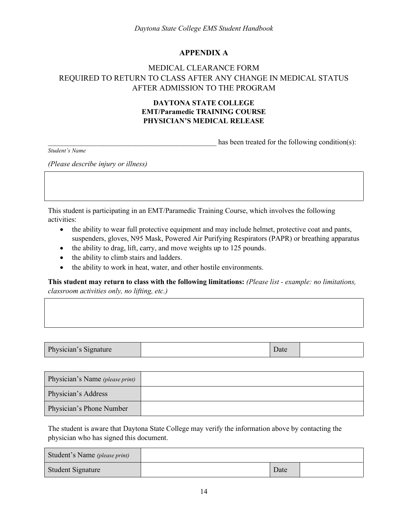### **APPENDIX A**

# MEDICAL CLEARANCE FORM REQUIRED TO RETURN TO CLASS AFTER ANY CHANGE IN MEDICAL STATUS AFTER ADMISSION TO THE PROGRAM

### **DAYTONA STATE COLLEGE EMT/Paramedic TRAINING COURSE PHYSICIAN'S MEDICAL RELEASE**

has been treated for the following condition(s):

*Student's Name*

*(Please describe injury or illness)*

This student is participating in an EMT/Paramedic Training Course, which involves the following activities:

- the ability to wear full protective equipment and may include helmet, protective coat and pants, suspenders, gloves, N95 Mask, Powered Air Purifying Respirators (PAPR) or breathing apparatus
- the ability to drag, lift, carry, and move weights up to 125 pounds.
- the ability to climb stairs and ladders.
- the ability to work in heat, water, and other hostile environments.

**This student may return to class with the following limitations:** *(Please list - example: no limitations, classroom activities only, no lifting, etc.)*

| $\mathbf{D}$<br>$T = 100$<br>Physician's Signature<br>Date |
|------------------------------------------------------------|
|------------------------------------------------------------|

| Physician's Name (please print) |  |
|---------------------------------|--|
| Physician's Address             |  |
| Physician's Phone Number        |  |

The student is aware that Daytona State College may verify the information above by contacting the physician who has signed this document.

| Student's Name (please print) |      |  |
|-------------------------------|------|--|
| Student Signature             | Date |  |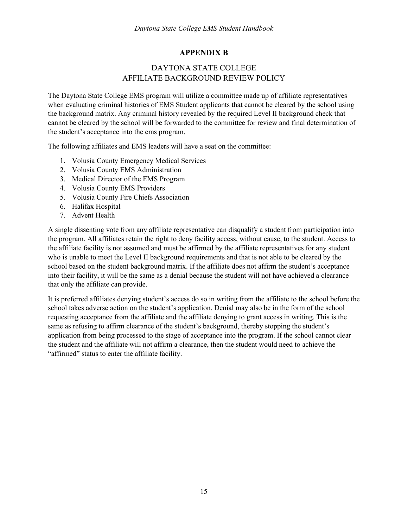### **APPENDIX B**

# DAYTONA STATE COLLEGE AFFILIATE BACKGROUND REVIEW POLICY

The Daytona State College EMS program will utilize a committee made up of affiliate representatives when evaluating criminal histories of EMS Student applicants that cannot be cleared by the school using the background matrix. Any criminal history revealed by the required Level II background check that cannot be cleared by the school will be forwarded to the committee for review and final determination of the student's acceptance into the ems program.

The following affiliates and EMS leaders will have a seat on the committee:

- 1. Volusia County Emergency Medical Services
- 2. Volusia County EMS Administration
- 3. Medical Director of the EMS Program
- 4. Volusia County EMS Providers
- 5. Volusia County Fire Chiefs Association
- 6. Halifax Hospital
- 7. Advent Health

A single dissenting vote from any affiliate representative can disqualify a student from participation into the program. All affiliates retain the right to deny facility access, without cause, to the student. Access to the affiliate facility is not assumed and must be affirmed by the affiliate representatives for any student who is unable to meet the Level II background requirements and that is not able to be cleared by the school based on the student background matrix. If the affiliate does not affirm the student's acceptance into their facility, it will be the same as a denial because the student will not have achieved a clearance that only the affiliate can provide.

It is preferred affiliates denying student's access do so in writing from the affiliate to the school before the school takes adverse action on the student's application. Denial may also be in the form of the school requesting acceptance from the affiliate and the affiliate denying to grant access in writing. This is the same as refusing to affirm clearance of the student's background, thereby stopping the student's application from being processed to the stage of acceptance into the program. If the school cannot clear the student and the affiliate will not affirm a clearance, then the student would need to achieve the "affirmed" status to enter the affiliate facility.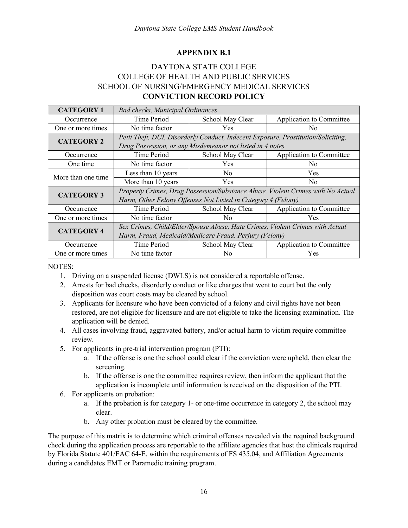### **APPENDIX B.1**

# DAYTONA STATE COLLEGE COLLEGE OF HEALTH AND PUBLIC SERVICES SCHOOL OF NURSING/EMERGENCY MEDICAL SERVICES **CONVICTION RECORD POLICY**

| <b>CATEGORY 1</b>  | <b>Bad checks, Municipal Ordinances</b>                                           |                  |                          |  |  |
|--------------------|-----------------------------------------------------------------------------------|------------------|--------------------------|--|--|
| Occurrence         | Time Period                                                                       | School May Clear | Application to Committee |  |  |
| One or more times  | No time factor                                                                    | <b>Yes</b>       | No.                      |  |  |
| <b>CATEGORY 2</b>  | Petit Theft, DUI, Disorderly Conduct, Indecent Exposure, Prostitution/Soliciting, |                  |                          |  |  |
|                    | Drug Possession, or any Misdemeanor not listed in 4 notes                         |                  |                          |  |  |
| Occurrence         | Time Period                                                                       | School May Clear | Application to Committee |  |  |
| One time           | No time factor                                                                    | <b>Yes</b>       | No.                      |  |  |
| More than one time | Less than 10 years                                                                | N <sub>0</sub>   | Yes                      |  |  |
|                    | More than 10 years                                                                | Yes              | N <sub>0</sub>           |  |  |
| <b>CATEGORY 3</b>  | Property Crimes, Drug Possession/Substance Abuse, Violent Crimes with No Actual   |                  |                          |  |  |
|                    | Harm, Other Felony Offenses Not Listed in Category 4 (Felony)                     |                  |                          |  |  |
| Occurrence         | Time Period                                                                       | School May Clear | Application to Committee |  |  |
| One or more times  | No time factor                                                                    | No.              | Yes                      |  |  |
| <b>CATEGORY 4</b>  | Sex Crimes, Child/Elder/Spouse Abuse, Hate Crimes, Violent Crimes with Actual     |                  |                          |  |  |
|                    | Harm, Fraud, Medicaid/Medicare Fraud. Perjury (Felony)                            |                  |                          |  |  |
| Occurrence         | Time Period                                                                       | School May Clear | Application to Committee |  |  |
| One or more times  | No time factor                                                                    | No.              | Yes                      |  |  |

NOTES:

- 1. Driving on a suspended license (DWLS) is not considered a reportable offense.
- 2. Arrests for bad checks, disorderly conduct or like charges that went to court but the only disposition was court costs may be cleared by school.
- 3. Applicants for licensure who have been convicted of a felony and civil rights have not been restored, are not eligible for licensure and are not eligible to take the licensing examination. The application will be denied.
- 4. All cases involving fraud, aggravated battery, and/or actual harm to victim require committee review.
- 5. For applicants in pre-trial intervention program (PTI):
	- a. If the offense is one the school could clear if the conviction were upheld, then clear the screening.
	- b. If the offense is one the committee requires review, then inform the applicant that the application is incomplete until information is received on the disposition of the PTI.
- 6. For applicants on probation:
	- a. If the probation is for category 1- or one-time occurrence in category 2, the school may clear.
	- b. Any other probation must be cleared by the committee.

The purpose of this matrix is to determine which criminal offenses revealed via the required background check during the application process are reportable to the affiliate agencies that host the clinicals required by Florida Statute 401/FAC 64-E, within the requirements of FS 435.04, and Affiliation Agreements during a candidates EMT or Paramedic training program.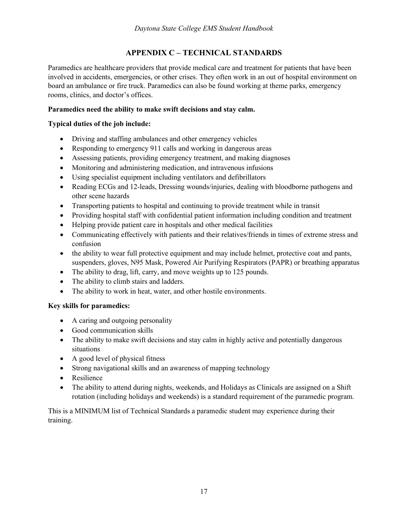# **APPENDIX C – TECHNICAL STANDARDS**

Paramedics are healthcare providers that provide medical care and treatment for patients that have been involved in accidents, emergencies, or other crises. They often work in an out of hospital environment on board an ambulance or fire truck. Paramedics can also be found working at theme parks, emergency rooms, clinics, and doctor's offices.

### **Paramedics need the ability to make swift decisions and stay calm.**

### **Typical duties of the job include:**

- Driving and staffing ambulances and other emergency vehicles
- Responding to emergency 911 calls and working in dangerous areas
- Assessing patients, providing emergency treatment, and making diagnoses
- Monitoring and administering medication, and intravenous infusions
- Using specialist equipment including ventilators and defibrillators
- Reading ECGs and 12-leads, Dressing wounds/injuries, dealing with bloodborne pathogens and other scene hazards
- Transporting patients to hospital and continuing to provide treatment while in transit
- Providing hospital staff with confidential patient information including condition and treatment
- Helping provide patient care in hospitals and other medical facilities
- Communicating effectively with patients and their relatives/friends in times of extreme stress and confusion
- the ability to wear full protective equipment and may include helmet, protective coat and pants, suspenders, gloves, N95 Mask, Powered Air Purifying Respirators (PAPR) or breathing apparatus
- The ability to drag, lift, carry, and move weights up to 125 pounds.
- The ability to climb stairs and ladders.
- The ability to work in heat, water, and other hostile environments.

#### **Key skills for paramedics:**

- A caring and outgoing personality
- Good communication skills
- The ability to make swift decisions and stay calm in highly active and potentially dangerous situations
- A good level of physical fitness
- Strong navigational skills and an awareness of mapping technology
- Resilience
- The ability to attend during nights, weekends, and Holidays as Clinicals are assigned on a Shift rotation (including holidays and weekends) is a standard requirement of the paramedic program.

This is a MINIMUM list of Technical Standards a paramedic student may experience during their training.